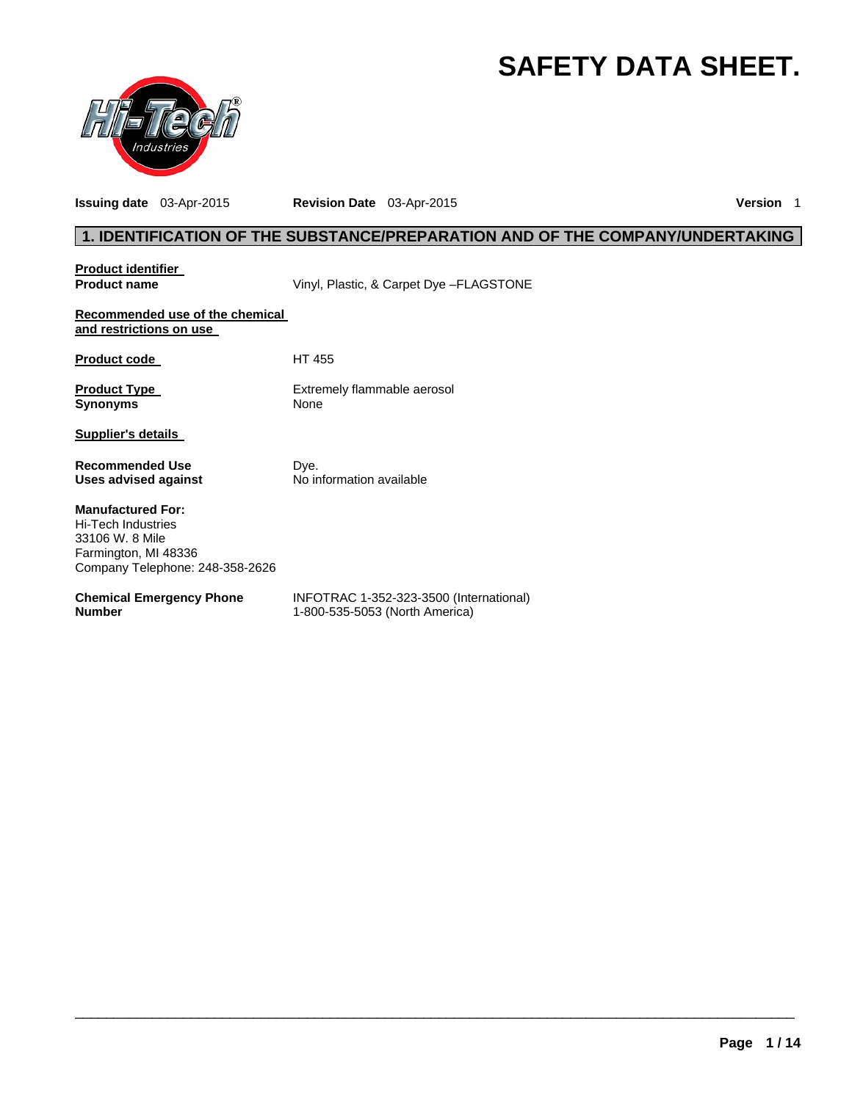# **SAFETY DATA SHEET.**



**Issuing date** 03-Apr-2015 **Revision Date** 03-Apr-2015 **Version** 1

# **1. IDENTIFICATION OF THE SUBSTANCE/PREPARATION AND OF THE COMPANY/UNDERTAKING**

| <b>Product identifier</b>                                                                                                    |                                                                           |
|------------------------------------------------------------------------------------------------------------------------------|---------------------------------------------------------------------------|
| <b>Product name</b>                                                                                                          | Vinyl, Plastic, & Carpet Dye - FLAGSTONE                                  |
| Recommended use of the chemical<br>and restrictions on use                                                                   |                                                                           |
| <b>Product code</b>                                                                                                          | HT 455                                                                    |
| <b>Product Type</b><br><b>Synonyms</b>                                                                                       | Extremely flammable aerosol<br>None                                       |
| <b>Supplier's details</b>                                                                                                    |                                                                           |
| <b>Recommended Use</b><br>Uses advised against                                                                               | Dye.<br>No information available                                          |
| <b>Manufactured For:</b><br>Hi-Tech Industries<br>33106 W. 8 Mile<br>Farmington, MI 48336<br>Company Telephone: 248-358-2626 |                                                                           |
| <b>Chemical Emergency Phone</b><br><b>Number</b>                                                                             | INFOTRAC 1-352-323-3500 (International)<br>1-800-535-5053 (North America) |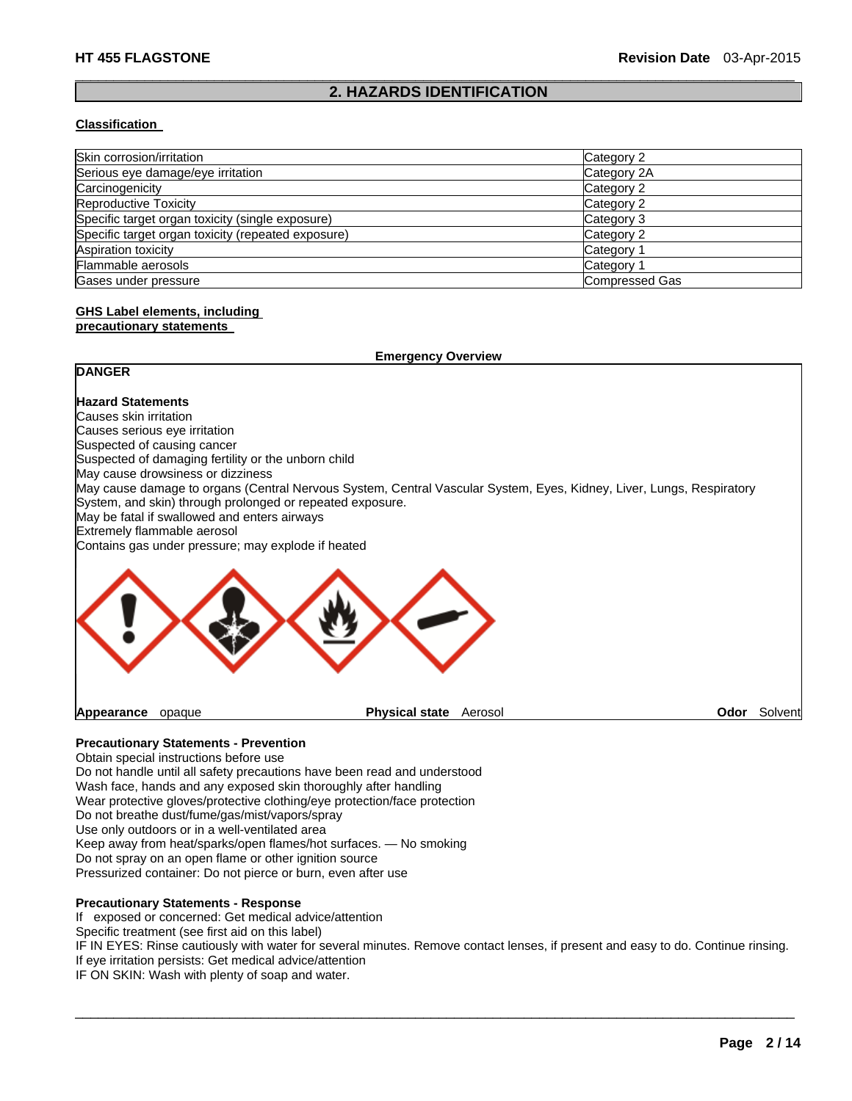### $\Box$ **2. HAZARDS IDENTIFICATION**

### **Classification**

| Skin corrosion/irritation                          | Category 2            |
|----------------------------------------------------|-----------------------|
| Serious eye damage/eye irritation                  | Category 2A           |
| Carcinogenicity                                    | Category 2            |
| Reproductive Toxicity                              | Category 2            |
| Specific target organ toxicity (single exposure)   | Category 3            |
| Specific target organ toxicity (repeated exposure) | Category 2            |
| Aspiration toxicity                                | Category 1            |
| Flammable aerosols                                 | Category 1            |
| Gases under pressure                               | <b>Compressed Gas</b> |

# **GHS Label elements, including**

### **precautionary statements**

|                                                     | <b>Emergency Overview</b>                                                                                                                                                         |         |
|-----------------------------------------------------|-----------------------------------------------------------------------------------------------------------------------------------------------------------------------------------|---------|
| <b>DANGER</b>                                       |                                                                                                                                                                                   |         |
| <b>Hazard Statements</b>                            |                                                                                                                                                                                   |         |
| Causes skin irritation                              |                                                                                                                                                                                   |         |
| Causes serious eye irritation                       |                                                                                                                                                                                   |         |
| Suspected of causing cancer                         |                                                                                                                                                                                   |         |
| Suspected of damaging fertility or the unborn child |                                                                                                                                                                                   |         |
| May cause drowsiness or dizziness                   |                                                                                                                                                                                   |         |
| May be fatal if swallowed and enters airways        | May cause damage to organs (Central Nervous System, Central Vascular System, Eyes, Kidney, Liver, Lungs, Respiratory<br>System, and skin) through prolonged or repeated exposure. |         |
| Extremely flammable aerosol                         |                                                                                                                                                                                   |         |
| Contains gas under pressure; may explode if heated  |                                                                                                                                                                                   |         |
|                                                     |                                                                                                                                                                                   |         |
| Appearance<br>opaque                                | <b>Physical state</b><br>Aerosol<br>Odor                                                                                                                                          | Solvent |

### **Precautionary Statements - Prevention**

Obtain special instructions before use Do not handle until all safety precautions have been read and understood Wash face, hands and any exposed skin thoroughly after handling Wear protective gloves/protective clothing/eye protection/face protection Do not breathe dust/fume/gas/mist/vapors/spray Use only outdoors or in a well-ventilated area Keep away from heat/sparks/open flames/hot surfaces. — No smoking Do not spray on an open flame or other ignition source Pressurized container: Do not pierce or burn, even after use

# **Precautionary Statements - Response**

If exposed or concerned: Get medical advice/attention

Specific treatment (see first aid on this label)

IF IN EYES: Rinse cautiously with water for several minutes. Remove contact lenses, if present and easy to do. Continue rinsing. If eye irritation persists: Get medical advice/attention

 $\Box$ 

IF ON SKIN: Wash with plenty of soap and water.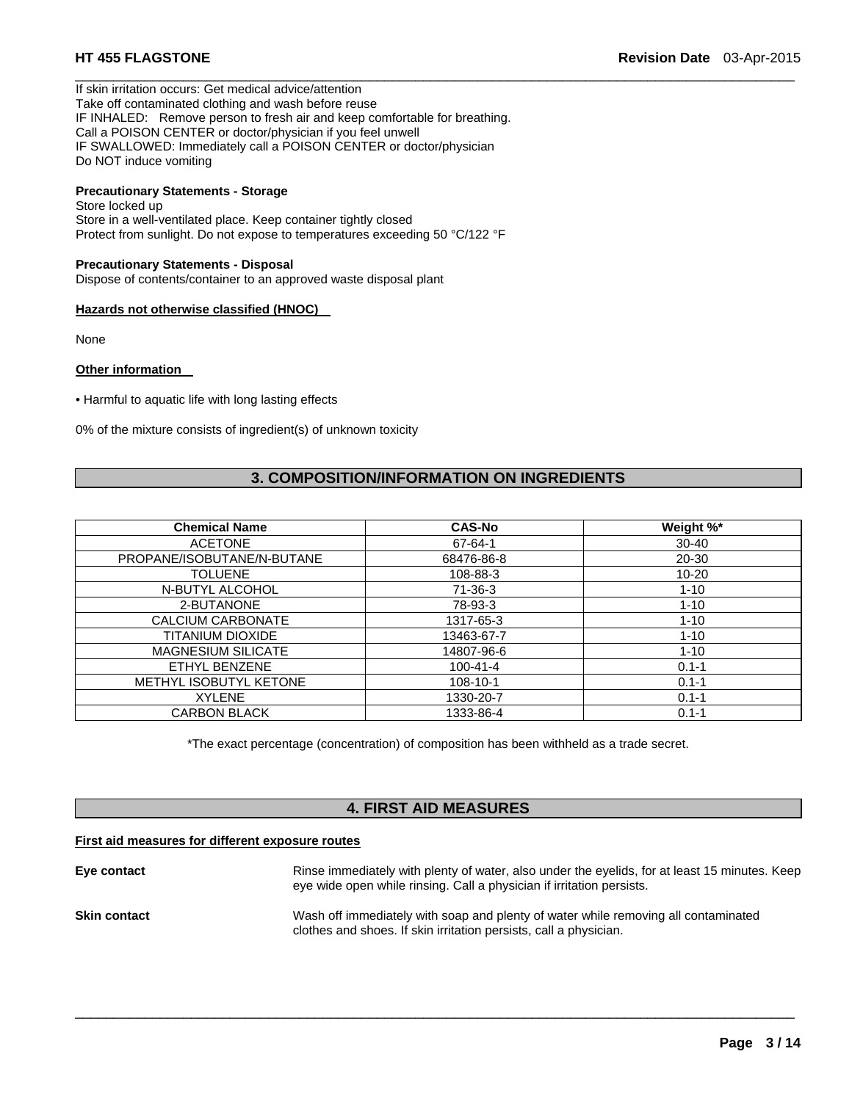If skin irritation occurs: Get medical advice/attention Take off contaminated clothing and wash before reuse IF INHALED: Remove person to fresh air and keep comfortable for breathing. Call a POISON CENTER or doctor/physician if you feel unwell IF SWALLOWED: Immediately call a POISON CENTER or doctor/physician Do NOT induce vomiting

# **Precautionary Statements - Storage**

Store locked up Store in a well-ventilated place. Keep container tightly closed Protect from sunlight. Do not expose to temperatures exceeding 50 °C/122 °F

### **Precautionary Statements - Disposal**

Dispose of contents/container to an approved waste disposal plant

### **Hazards not otherwise classified (HNOC)**

None

### **Other information**

• Harmful to aquatic life with long lasting effects

0% of the mixture consists of ingredient(s) of unknown toxicity

# **3. COMPOSITION/INFORMATION ON INGREDIENTS**

 $\Box$ 

| <b>Chemical Name</b>       | <b>CAS-No</b>  | Weight %* |
|----------------------------|----------------|-----------|
| <b>ACETONE</b>             | 67-64-1        | $30 - 40$ |
| PROPANE/ISOBUTANE/N-BUTANE | 68476-86-8     | 20-30     |
| <b>TOLUENE</b>             | 108-88-3       | $10 - 20$ |
| N-BUTYL ALCOHOL            | 71-36-3        | $1 - 10$  |
| 2-BUTANONE                 | 78-93-3        | $1 - 10$  |
| CALCIUM CARBONATE          | 1317-65-3      | $1 - 10$  |
| TITANIUM DIOXIDE           | 13463-67-7     | $1 - 10$  |
| <b>MAGNESIUM SILICATE</b>  | 14807-96-6     | $1 - 10$  |
| ETHYL BENZENE              | $100 - 41 - 4$ | $0.1 - 1$ |
| METHYL ISOBUTYL KETONE     | $108 - 10 - 1$ | $0.1 - 1$ |
| <b>XYLENE</b>              | 1330-20-7      | $0.1 - 1$ |
| <b>CARBON BLACK</b>        | 1333-86-4      | $0.1 - 1$ |

\*The exact percentage (concentration) of composition has been withheld as a trade secret.

### **4. FIRST AID MEASURES**

### **First aid measures for different exposure routes**

| Eye contact         | Rinse immediately with plenty of water, also under the eyelids, for at least 15 minutes. Keep<br>eye wide open while rinsing. Call a physician if irritation persists. |
|---------------------|------------------------------------------------------------------------------------------------------------------------------------------------------------------------|
| <b>Skin contact</b> | Wash off immediately with soap and plenty of water while removing all contaminated<br>clothes and shoes. If skin irritation persists, call a physician.                |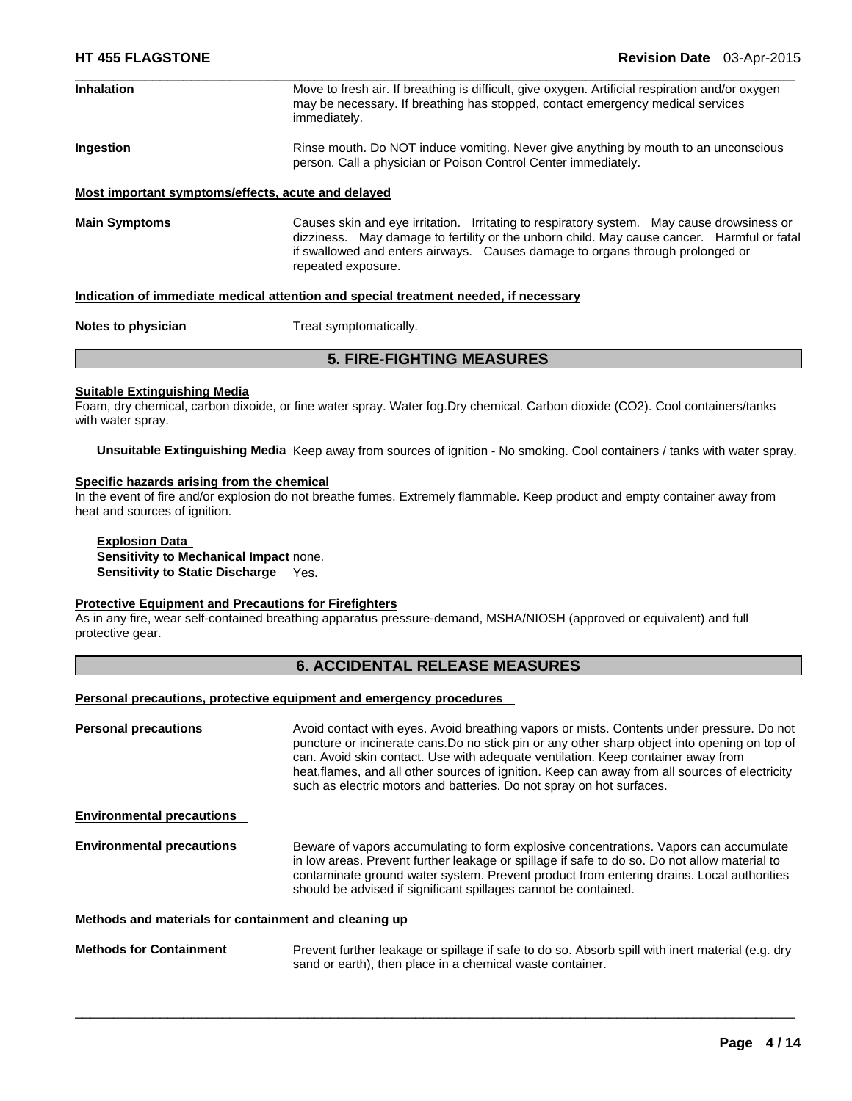| <b>Inhalation</b>                                                                    | Move to fresh air. If breathing is difficult, give oxygen. Artificial respiration and/or oxygen<br>may be necessary. If breathing has stopped, contact emergency medical services<br>immediately.                                                                                              |  |  |
|--------------------------------------------------------------------------------------|------------------------------------------------------------------------------------------------------------------------------------------------------------------------------------------------------------------------------------------------------------------------------------------------|--|--|
| Ingestion                                                                            | Rinse mouth. Do NOT induce vomiting. Never give anything by mouth to an unconscious<br>person. Call a physician or Poison Control Center immediately.                                                                                                                                          |  |  |
| Most important symptoms/effects, acute and delayed                                   |                                                                                                                                                                                                                                                                                                |  |  |
| <b>Main Symptoms</b>                                                                 | Causes skin and eye irritation. Irritating to respiratory system. May cause drowsiness or<br>dizziness. May damage to fertility or the unborn child. May cause cancer. Harmful or fatal<br>if swallowed and enters airways. Causes damage to organs through prolonged or<br>repeated exposure. |  |  |
| Indication of immediate medical attention and special treatment needed, if necessary |                                                                                                                                                                                                                                                                                                |  |  |
| Notes to physician                                                                   | Treat symptomatically.                                                                                                                                                                                                                                                                         |  |  |
| <b>5. FIRE-FIGHTING MEASURES</b>                                                     |                                                                                                                                                                                                                                                                                                |  |  |

### **Suitable Extinguishing Media**

Foam, dry chemical, carbon dixoide, or fine water spray. Water fog.Dry chemical. Carbon dioxide (CO2). Cool containers/tanks with water spray.

**Unsuitable Extinguishing Media** Keep away from sources of ignition - No smoking. Cool containers / tanks with water spray.

### **Specific hazards arising from the chemical**

In the event of fire and/or explosion do not breathe fumes. Extremely flammable. Keep product and empty container away from heat and sources of ignition.

### **Explosion Data**

**Sensitivity to Mechanical Impact** none. **Sensitivity to Static Discharge** Yes.

### **Protective Equipment and Precautions for Firefighters**

As in any fire, wear self-contained breathing apparatus pressure-demand, MSHA/NIOSH (approved or equivalent) and full protective gear.

### **6. ACCIDENTAL RELEASE MEASURES**

# **Personal precautions, protective equipment and emergency procedures**

| <b>Personal precautions</b>                           | Avoid contact with eyes. Avoid breathing vapors or mists. Contents under pressure. Do not<br>puncture or incinerate cans. Do no stick pin or any other sharp object into opening on top of<br>can. Avoid skin contact. Use with adequate ventilation. Keep container away from<br>heat, flames, and all other sources of ignition. Keep can away from all sources of electricity<br>such as electric motors and batteries. Do not spray on hot surfaces. |
|-------------------------------------------------------|----------------------------------------------------------------------------------------------------------------------------------------------------------------------------------------------------------------------------------------------------------------------------------------------------------------------------------------------------------------------------------------------------------------------------------------------------------|
| <b>Environmental precautions</b>                      |                                                                                                                                                                                                                                                                                                                                                                                                                                                          |
| <b>Environmental precautions</b>                      | Beware of vapors accumulating to form explosive concentrations. Vapors can accumulate<br>in low areas. Prevent further leakage or spillage if safe to do so. Do not allow material to<br>contaminate ground water system. Prevent product from entering drains. Local authorities<br>should be advised if significant spillages cannot be contained.                                                                                                     |
| Methods and materials for containment and cleaning up |                                                                                                                                                                                                                                                                                                                                                                                                                                                          |

**Methods for Containment** Prevent further leakage or spillage if safe to do so. Absorb spill with inert material (e.g. dry sand or earth), then place in a chemical waste container.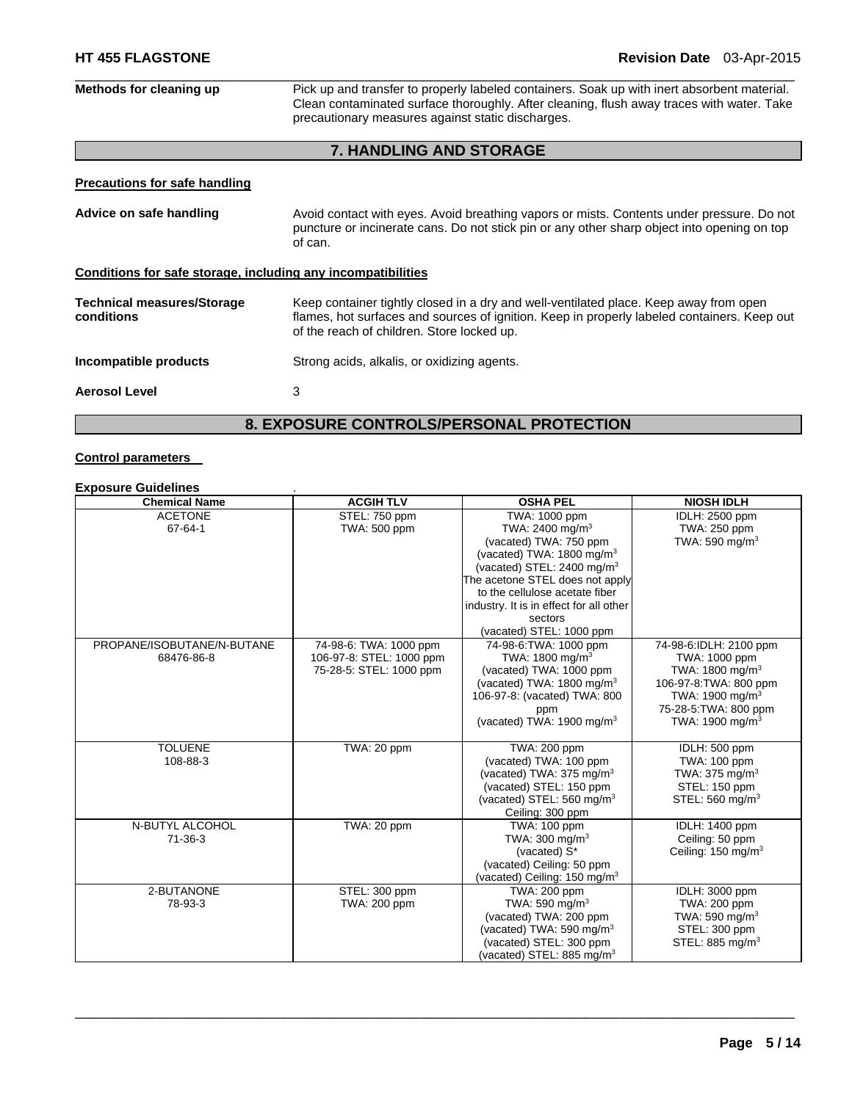| Methods for cleaning up                                      | Pick up and transfer to properly labeled containers. Soak up with inert absorbent material.<br>Clean contaminated surface thoroughly. After cleaning, flush away traces with water. Take<br>precautionary measures against static discharges. |  |
|--------------------------------------------------------------|-----------------------------------------------------------------------------------------------------------------------------------------------------------------------------------------------------------------------------------------------|--|
|                                                              |                                                                                                                                                                                                                                               |  |
|                                                              | <b>7. HANDLING AND STORAGE</b>                                                                                                                                                                                                                |  |
| <b>Precautions for safe handling</b>                         |                                                                                                                                                                                                                                               |  |
| Advice on safe handling                                      | Avoid contact with eyes. Avoid breathing vapors or mists. Contents under pressure. Do not<br>puncture or incinerate cans. Do not stick pin or any other sharp object into opening on top<br>of can.                                           |  |
| Conditions for safe storage, including any incompatibilities |                                                                                                                                                                                                                                               |  |
| <b>Technical measures/Storage</b><br>conditions              | Keep container tightly closed in a dry and well-ventilated place. Keep away from open<br>flames, hot surfaces and sources of ignition. Keep in properly labeled containers. Keep out<br>of the reach of children. Store locked up.            |  |
| Incompatible products                                        | Strong acids, alkalis, or oxidizing agents.                                                                                                                                                                                                   |  |
| <b>Aerosol Level</b>                                         | 3                                                                                                                                                                                                                                             |  |
| <b>8. EXPOSURE CONTROLS/PERSONAL PROTECTION</b>              |                                                                                                                                                                                                                                               |  |

# **Control parameters**

# **Exposure Guidelines** .

| <b>Chemical Name</b>       | <b>ACGIH TLV</b>         | <b>OSHA PEL</b>                         | <b>NIOSH IDLH</b>              |
|----------------------------|--------------------------|-----------------------------------------|--------------------------------|
| <b>ACETONE</b>             | STEL: 750 ppm            | TWA: 1000 ppm                           | <b>IDLH: 2500 ppm</b>          |
| 67-64-1                    | TWA: 500 ppm             | TWA: 2400 mg/m <sup>3</sup>             | TWA: 250 ppm                   |
|                            |                          | (vacated) TWA: 750 ppm                  | TWA: 590 mg/m $3$              |
|                            |                          | (vacated) TWA: 1800 mg/m <sup>3</sup>   |                                |
|                            |                          | (vacated) STEL: 2400 mg/m <sup>3</sup>  |                                |
|                            |                          | The acetone STEL does not apply         |                                |
|                            |                          | to the cellulose acetate fiber          |                                |
|                            |                          | industry. It is in effect for all other |                                |
|                            |                          | sectors                                 |                                |
|                            |                          | (vacated) STEL: 1000 ppm                |                                |
| PROPANE/ISOBUTANE/N-BUTANE | 74-98-6: TWA: 1000 ppm   | 74-98-6: TWA: 1000 ppm                  | 74-98-6:IDLH: 2100 ppm         |
| 68476-86-8                 | 106-97-8: STEL: 1000 ppm | TWA: $1800 \text{ mg/m}^3$              | TWA: 1000 ppm                  |
|                            | 75-28-5: STEL: 1000 ppm  | (vacated) TWA: 1000 ppm                 | TWA: $1800 \text{ mg/m}^3$     |
|                            |                          | (vacated) TWA: $1800 \text{ mg/m}^3$    | 106-97-8: TWA: 800 ppm         |
|                            |                          | 106-97-8: (vacated) TWA: 800            | TWA: 1900 mg/m <sup>3</sup>    |
|                            |                          | ppm                                     | 75-28-5: TWA: 800 ppm          |
|                            |                          | (vacated) TWA: 1900 mg/m <sup>3</sup>   | TWA: 1900 mg/m <sup>3</sup>    |
|                            |                          |                                         |                                |
| <b>TOLUENE</b>             | TWA: 20 ppm              | TWA: 200 ppm                            | IDLH: 500 ppm                  |
| 108-88-3                   |                          | (vacated) TWA: 100 ppm                  | TWA: 100 ppm                   |
|                            |                          | (vacated) TWA: $375 \text{ mg/m}^3$     | TWA: 375 mg/m <sup>3</sup>     |
|                            |                          | (vacated) STEL: 150 ppm                 | STEL: 150 ppm                  |
|                            |                          | (vacated) STEL: 560 mg/m <sup>3</sup>   | STEL: 560 mg/m <sup>3</sup>    |
|                            |                          | Ceiling: 300 ppm                        |                                |
| N-BUTYL ALCOHOL            | TWA: 20 ppm              | TWA: 100 ppm                            | IDLH: 1400 ppm                 |
| $71 - 36 - 3$              |                          | TWA: $300 \text{ mg/m}^3$               | Ceiling: 50 ppm                |
|                            |                          | (vacated) S*                            | Ceiling: 150 mg/m <sup>3</sup> |
|                            |                          | (vacated) Ceiling: 50 ppm               |                                |
|                            |                          | (vacated) Ceiling: $150 \text{ mg/m}^3$ |                                |
| 2-BUTANONE                 | STEL: 300 ppm            | TWA: 200 ppm                            | IDLH: 3000 ppm                 |
| 78-93-3                    | TWA: 200 ppm             | TWA: 590 mg/m <sup>3</sup>              | TWA: 200 ppm                   |
|                            |                          | (vacated) TWA: 200 ppm                  | TWA: 590 mg/m <sup>3</sup>     |
|                            |                          | (vacated) TWA: 590 mg/m $3$             | STEL: 300 ppm                  |
|                            |                          | (vacated) STEL: 300 ppm                 | STEL: 885 mg/m <sup>3</sup>    |
|                            |                          | (vacated) STEL: 885 mg/m $3$            |                                |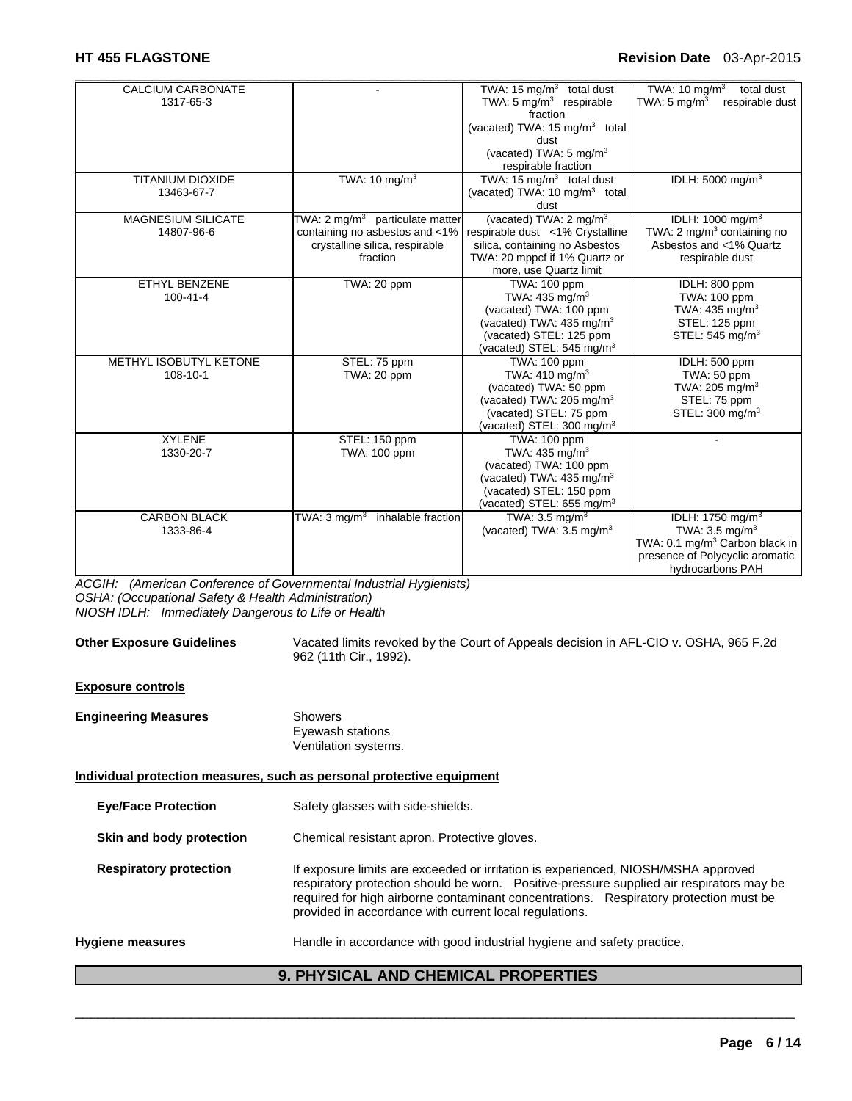| <b>CALCIUM CARBONATE</b>  |                                        | TWA: 15 $mg/m3$ total dust                | TWA: 10 mg/m <sup>3</sup><br>total dust    |
|---------------------------|----------------------------------------|-------------------------------------------|--------------------------------------------|
| 1317-65-3                 |                                        | TWA: $5 \text{ mg/m}^3$ respirable        | TWA: $5 \text{ mg/m}^3$<br>respirable dust |
|                           |                                        | fraction                                  |                                            |
|                           |                                        | (vacated) TWA: 15 mg/m <sup>3</sup> total |                                            |
|                           |                                        | dust                                      |                                            |
|                           |                                        | (vacated) TWA: $5 \text{ mg/m}^3$         |                                            |
|                           |                                        | respirable fraction                       |                                            |
| <b>TITANIUM DIOXIDE</b>   | TWA: 10 mg/m <sup>3</sup>              | TWA: 15 $mg/m3$ total dust                | IDLH: 5000 mg/m <sup>3</sup>               |
| 13463-67-7                |                                        | (vacated) TWA: 10 mg/m <sup>3</sup> total |                                            |
|                           |                                        | dust                                      |                                            |
| <b>MAGNESIUM SILICATE</b> | TWA: 2 mg/m $3$ particulate matter     | (vacated) TWA: 2 mg/m <sup>3</sup>        | IDLH: 1000 mg/m <sup>3</sup>               |
| 14807-96-6                | containing no asbestos and <1%         | respirable dust <1% Crystalline           | TWA: 2 mg/m <sup>3</sup> containing no     |
|                           | crystalline silica, respirable         | silica, containing no Asbestos            | Asbestos and <1% Quartz                    |
|                           | fraction                               | TWA: 20 mppcf if 1% Quartz or             | respirable dust                            |
|                           |                                        | more, use Quartz limit                    |                                            |
| <b>ETHYL BENZENE</b>      | TWA: 20 ppm                            | TWA: 100 ppm                              | IDLH: 800 ppm                              |
| $100 - 41 - 4$            |                                        | TWA: 435 mg/m <sup>3</sup>                | TWA: 100 ppm                               |
|                           |                                        | (vacated) TWA: 100 ppm                    | TWA: 435 mg/m <sup>3</sup>                 |
|                           |                                        | (vacated) TWA: 435 mg/m <sup>3</sup>      | STEL: 125 ppm                              |
|                           |                                        | (vacated) STEL: 125 ppm                   | STEL: 545 mg/m <sup>3</sup>                |
|                           |                                        | (vacated) STEL: $545 \text{ mg/m}^3$      |                                            |
| METHYL ISOBUTYL KETONE    | STEL: 75 ppm                           | TWA: 100 ppm                              | IDLH: 500 ppm                              |
| 108-10-1                  | TWA: 20 ppm                            | TWA: $410 \text{ mg/m}^3$                 | TWA: 50 ppm                                |
|                           |                                        | (vacated) TWA: 50 ppm                     | TWA: 205 mg/m $3$                          |
|                           |                                        | (vacated) TWA: 205 mg/m <sup>3</sup>      | STEL: 75 ppm                               |
|                           |                                        | (vacated) STEL: 75 ppm                    | STEL: 300 mg/m <sup>3</sup>                |
|                           |                                        | (vacated) STEL: 300 mg/m <sup>3</sup>     |                                            |
| <b>XYLENE</b>             | STEL: 150 ppm                          | TWA: 100 ppm                              |                                            |
| 1330-20-7                 | TWA: 100 ppm                           | TWA: 435 mg/m <sup>3</sup>                |                                            |
|                           |                                        | (vacated) TWA: 100 ppm                    |                                            |
|                           |                                        | (vacated) TWA: 435 mg/m <sup>3</sup>      |                                            |
|                           |                                        | (vacated) STEL: 150 ppm                   |                                            |
|                           |                                        | (vacated) STEL: 655 mg/m <sup>3</sup>     |                                            |
| <b>CARBON BLACK</b>       | TWA: 3 mg/m $^3$<br>inhalable fraction | TWA: $3.5 \text{ ma/m}^3$                 | IDLH: 1750 mg/m <sup>3</sup>               |
| 1333-86-4                 |                                        | (vacated) TWA: $3.5 \text{ mg/m}^3$       | TWA: $3.5 \text{ mg/m}^3$                  |
|                           |                                        |                                           | TWA: 0.1 mg/m <sup>3</sup> Carbon black in |
|                           |                                        |                                           | presence of Polycyclic aromatic            |
|                           |                                        |                                           | hydrocarbons PAH                           |

*ACGIH: (American Conference of Governmental Industrial Hygienists) OSHA: (Occupational Safety & Health Administration) NIOSH IDLH: Immediately Dangerous to Life or Health* 

|                               | 962 (11th Cir., 1992).                                                                                                                                                                                                                                                                                                           |
|-------------------------------|----------------------------------------------------------------------------------------------------------------------------------------------------------------------------------------------------------------------------------------------------------------------------------------------------------------------------------|
| <b>Exposure controls</b>      |                                                                                                                                                                                                                                                                                                                                  |
| <b>Engineering Measures</b>   | <b>Showers</b><br>Eyewash stations<br>Ventilation systems.                                                                                                                                                                                                                                                                       |
|                               | Individual protection measures, such as personal protective equipment                                                                                                                                                                                                                                                            |
| <b>Eye/Face Protection</b>    | Safety glasses with side-shields.                                                                                                                                                                                                                                                                                                |
| Skin and body protection      | Chemical resistant apron. Protective gloves.                                                                                                                                                                                                                                                                                     |
| <b>Respiratory protection</b> | If exposure limits are exceeded or irritation is experienced, NIOSH/MSHA approved<br>respiratory protection should be worn. Positive-pressure supplied air respirators may be<br>required for high airborne contaminant concentrations. Respiratory protection must be<br>provided in accordance with current local regulations. |
| Hygiene measures              | Handle in accordance with good industrial hygiene and safety practice.                                                                                                                                                                                                                                                           |
|                               | <b>9. PHYSICAL AND CHEMICAL PROPERTIES</b>                                                                                                                                                                                                                                                                                       |

**Other Exposure Guidelines** Vacated limits revoked by the Court of Appeals decision in AFL-CIO v. OSHA, 965 F.2d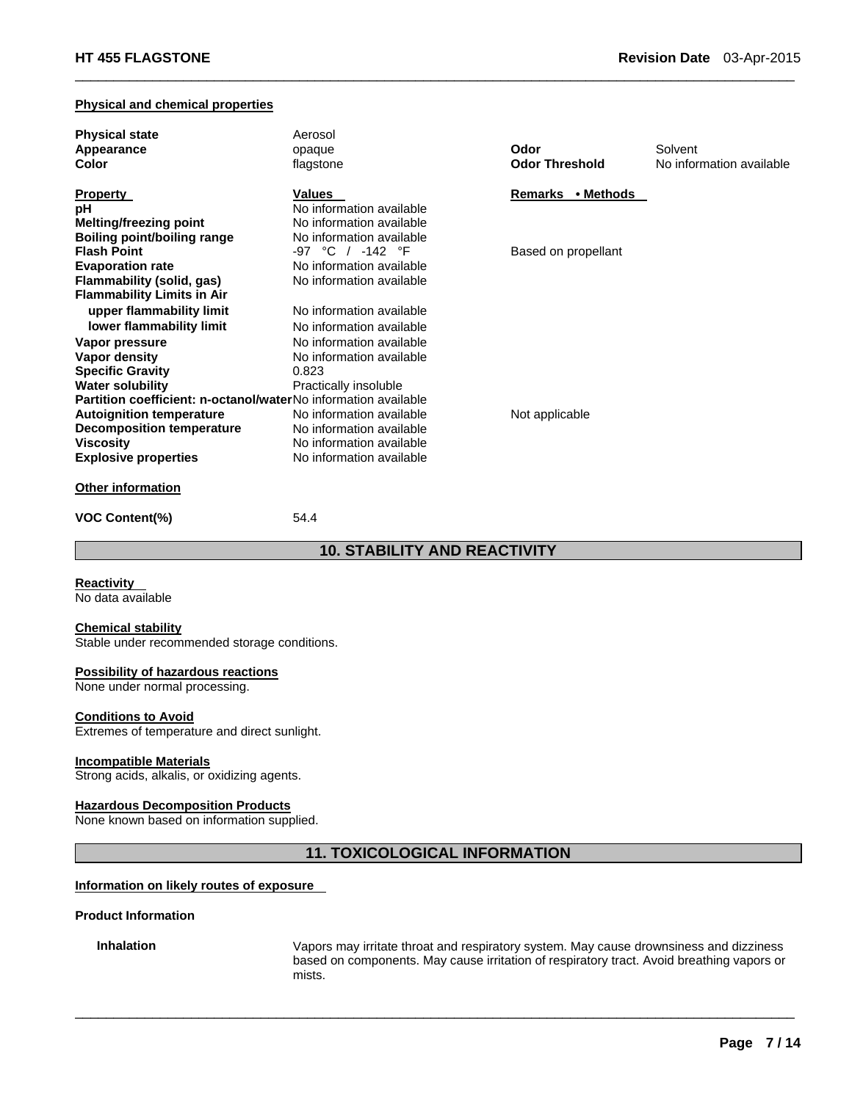### **Physical and chemical properties**

| <b>Physical state</b>                                                 | Aerosol                  |                       |                          |
|-----------------------------------------------------------------------|--------------------------|-----------------------|--------------------------|
| Appearance                                                            | opaque                   | Odor                  | Solvent                  |
| Color                                                                 | flagstone                | <b>Odor Threshold</b> | No information available |
| <b>Property</b>                                                       | Values                   | Remarks • Methods     |                          |
| рH                                                                    | No information available |                       |                          |
| <b>Melting/freezing point</b>                                         | No information available |                       |                          |
| Boiling point/boiling range                                           | No information available |                       |                          |
| <b>Flash Point</b>                                                    | -97 °C / -142 °F         | Based on propellant   |                          |
| <b>Evaporation rate</b>                                               | No information available |                       |                          |
| Flammability (solid, gas)                                             | No information available |                       |                          |
| <b>Flammability Limits in Air</b>                                     |                          |                       |                          |
| upper flammability limit                                              | No information available |                       |                          |
| lower flammability limit                                              | No information available |                       |                          |
| Vapor pressure                                                        | No information available |                       |                          |
| Vapor density                                                         | No information available |                       |                          |
| <b>Specific Gravity</b>                                               | 0.823                    |                       |                          |
| <b>Water solubility</b>                                               | Practically insoluble    |                       |                          |
| <b>Partition coefficient: n-octanol/waterNo information available</b> |                          |                       |                          |
| <b>Autoignition temperature</b>                                       | No information available | Not applicable        |                          |
| <b>Decomposition temperature</b>                                      | No information available |                       |                          |
| Viscosity                                                             | No information available |                       |                          |
| <b>Explosive properties</b>                                           | No information available |                       |                          |
| <b>Other information</b>                                              |                          |                       |                          |

 $\Box$ 

**VOC Content(%)** 54.4

# **10. STABILITY AND REACTIVITY**

**Reactivity** 

No data available

### **Chemical stability**

Stable under recommended storage conditions.

### **Possibility of hazardous reactions**

None under normal processing.

### **Conditions to Avoid**

Extremes of temperature and direct sunlight.

### **Incompatible Materials**

Strong acids, alkalis, or oxidizing agents.

### **Hazardous Decomposition Products**

None known based on information supplied.

### **11. TOXICOLOGICAL INFORMATION**

 $\Box$ 

### **Information on likely routes of exposure**

### **Product Information**

**Inhalation** Vapors may irritate throat and respiratory system. May cause drownsiness and dizziness based on components. May cause irritation of respiratory tract. Avoid breathing vapors or mists.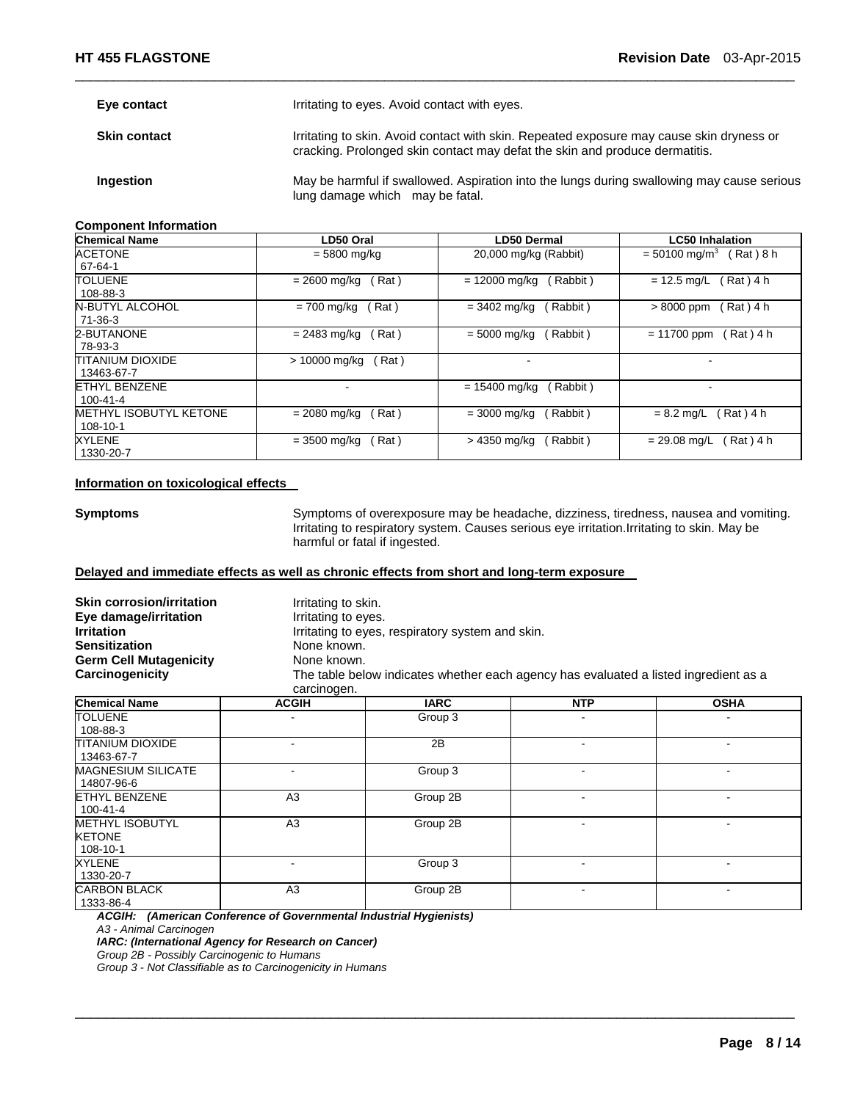| Eye contact         | Irritating to eyes. Avoid contact with eyes.                                                                                                                            |
|---------------------|-------------------------------------------------------------------------------------------------------------------------------------------------------------------------|
| <b>Skin contact</b> | Irritating to skin. Avoid contact with skin. Repeated exposure may cause skin dryness or<br>cracking. Prolonged skin contact may defat the skin and produce dermatitis. |
| Ingestion           | May be harmful if swallowed. Aspiration into the lungs during swallowing may cause serious<br>lung damage which may be fatal.                                           |

 $\Box$ 

### **Component Information**

| <b>Chemical Name</b>                   | LD50 Oral              | <b>LD50 Dermal</b>         | <b>LC50 Inhalation</b>                   |
|----------------------------------------|------------------------|----------------------------|------------------------------------------|
| <b>ACETONE</b><br>67-64-1              | $= 5800$ mg/kg         | 20,000 mg/kg (Rabbit)      | $= 50100$ mg/m <sup>3</sup><br>Rat ) 8 h |
| <b>TOLUENE</b>                         | Rat)                   | $= 12000$ mg/kg            | (Rat)4 h                                 |
| 108-88-3                               | $= 2600$ mg/kg         | Rabbit)                    | $= 12.5$ mg/L                            |
| <b>N-BUTYL ALCOHOL</b>                 | = 700 mg/kg            | $= 3402$ mg/kg             | $>8000$ ppm                              |
| 71-36-3                                | Rat)                   | Rabbit)                    | Rat) 4 h                                 |
| 2-BUTANONE                             | (Rat)                  | Rabbit)                    | (Rat)4 h                                 |
| 78-93-3                                | $= 2483$ mg/kg         | $= 5000 \; \text{mq/kg}$   | $= 11700$ ppm                            |
| <b>TITANIUM DIOXIDE</b><br>13463-67-7  | > 10000 mg/kg<br>(Rat) |                            |                                          |
| <b>ETHYL BENZENE</b><br>$100 - 41 - 4$ |                        | $= 15400$ mg/kg<br>Rabbit) |                                          |
| <b>METHYL ISOBUTYL KETONE</b>          | Rat)                   | (Rabbit)                   | Rat ) 4 h                                |
| 108-10-1                               | $= 2080$ mg/kg         | $= 3000$ ma/ka             | $= 8.2$ mg/L                             |
| XYLENE                                 | (Rat)                  | (Rabbit)                   | Rat) 4 h                                 |
| 1330-20-7                              | $= 3500$ mg/kg         | > 4350 mg/kg               | $= 29.08$ mg/L                           |

### **Information on toxicological effects**

**Symptoms** Symptoms of overexposure may be headache, dizziness, tiredness, nausea and vomiting. Irritating to respiratory system. Causes serious eye irritation.Irritating to skin. May be harmful or fatal if ingested.

### **Delayed and immediate effects as well as chronic effects from short and long-term exposure**

| <b>Skin corrosion/irritation</b><br>Eye damage/irritation<br><b>Irritation</b><br><b>Sensitization</b><br><b>Germ Cell Mutagenicity</b><br>Carcinogenicity | Irritating to skin.<br>Irritating to eyes.<br>None known.<br>None known.<br>carcinogen. | Irritating to eyes, respiratory system and skin. | The table below indicates whether each agency has evaluated a listed ingredient as a |             |
|------------------------------------------------------------------------------------------------------------------------------------------------------------|-----------------------------------------------------------------------------------------|--------------------------------------------------|--------------------------------------------------------------------------------------|-------------|
| <b>Chemical Name</b>                                                                                                                                       | <b>ACGIH</b>                                                                            | <b>IARC</b>                                      | <b>NTP</b>                                                                           | <b>OSHA</b> |
| TOLUENE<br>108-88-3                                                                                                                                        |                                                                                         | Group 3                                          |                                                                                      |             |
| TITANIUM DIOXIDE<br>13463-67-7                                                                                                                             | ۰                                                                                       | 2B                                               |                                                                                      |             |
| <b>MAGNESIUM SILICATE</b><br>14807-96-6                                                                                                                    | ۰                                                                                       | Group 3                                          | $\blacksquare$                                                                       | ٠           |
| <b>ETHYL BENZENE</b><br>$100 - 41 - 4$                                                                                                                     | A3                                                                                      | Group 2B                                         |                                                                                      |             |
| <b>METHYL ISOBUTYL</b><br><b>KETONE</b><br>108-10-1                                                                                                        | A <sub>3</sub>                                                                          | Group 2B                                         |                                                                                      |             |
| <b>XYLENE</b><br>1330-20-7                                                                                                                                 | ۰                                                                                       | Group 3                                          |                                                                                      |             |
| <b>CARBON BLACK</b><br>1333-86-4                                                                                                                           | A <sub>3</sub>                                                                          | Group 2B                                         | $\overline{\phantom{a}}$                                                             |             |

 $\Box$ 

*ACGIH: (American Conference of Governmental Industrial Hygienists)* 

*A3 - Animal Carcinogen* 

*IARC: (International Agency for Research on Cancer)* 

*Group 2B - Possibly Carcinogenic to Humans* 

*Group 3 - Not Classifiable as to Carcinogenicity in Humans*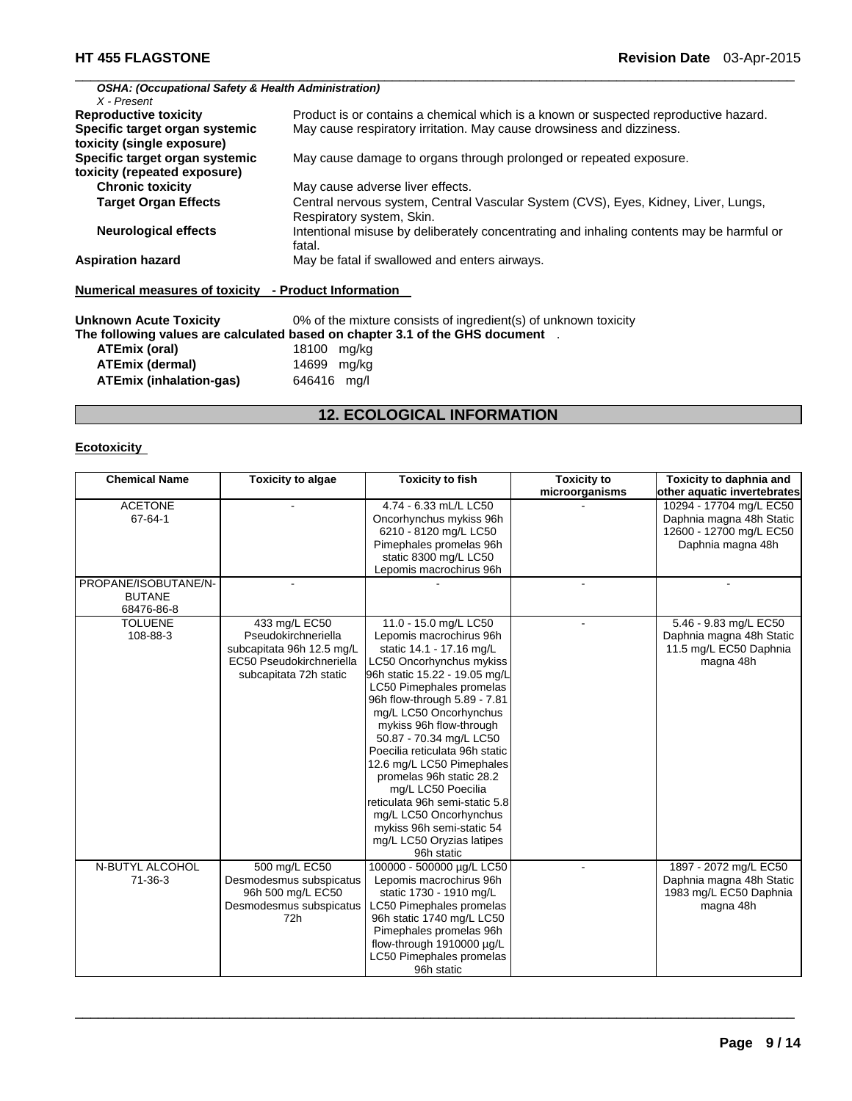### $\Box$ *OSHA: (Occupational Safety & Health Administration) X - Present*  Product is or contains a chemical which is a known or suspected reproductive hazard. **Specific target organ systemic toxicity (single exposure)**  May cause respiratory irritation. May cause drowsiness and dizziness. **Specific target organ systemic toxicity (repeated exposure)**  May cause damage to organs through prolonged or repeated exposure. **Chronic toxicity May cause adverse liver effects. Target Organ Effects** Central nervous system, Central Vascular System (CVS), Eyes, Kidney, Liver, Lungs, Respiratory system, Skin. **Neurological effects** Intentional misuse by deliberately concentrating and inhaling contents may be harmful or fatal. **Aspiration hazard** May be fatal if swallowed and enters airways. **Numerical measures of toxicity - Product Information Unknown Acute Toxicity** 0% of the mixture consists of ingredient(s) of unknown toxicity **The following values are calculated based on chapter 3.1 of the GHS document** . **ATEmix (oral)** 18100 mg/kg

| <b>ATEmix (dermal)</b>         | 14699 mg/kg |  |
|--------------------------------|-------------|--|
| <b>ATEmix (inhalation-gas)</b> | 646416 mg/l |  |

# **12. ECOLOGICAL INFORMATION**

### **Ecotoxicity**

| <b>Chemical Name</b> | <b>Toxicity to algae</b>  | <b>Toxicity to fish</b>         | <b>Toxicity to</b> | Toxicity to daphnia and     |
|----------------------|---------------------------|---------------------------------|--------------------|-----------------------------|
|                      |                           |                                 | microorganisms     | other aquatic invertebrates |
| <b>ACETONE</b>       |                           | 4.74 - 6.33 mL/L LC50           |                    | 10294 - 17704 mg/L EC50     |
| 67-64-1              |                           | Oncorhynchus mykiss 96h         |                    | Daphnia magna 48h Static    |
|                      |                           | 6210 - 8120 mg/L LC50           |                    | 12600 - 12700 mg/L EC50     |
|                      |                           | Pimephales promelas 96h         |                    | Daphnia magna 48h           |
|                      |                           | static 8300 mg/L LC50           |                    |                             |
|                      |                           | Lepomis macrochirus 96h         |                    |                             |
| PROPANE/ISOBUTANE/N- |                           |                                 |                    |                             |
| <b>BUTANE</b>        |                           |                                 |                    |                             |
| 68476-86-8           |                           |                                 |                    |                             |
| <b>TOLUENE</b>       | 433 mg/L EC50             | 11.0 - 15.0 mg/L LC50           |                    | 5.46 - 9.83 mg/L EC50       |
| 108-88-3             | Pseudokirchneriella       | Lepomis macrochirus 96h         |                    | Daphnia magna 48h Static    |
|                      | subcapitata 96h 12.5 mg/L | static 14.1 - 17.16 mg/L        |                    | 11.5 mg/L EC50 Daphnia      |
|                      | EC50 Pseudokirchneriella  | LC50 Oncorhynchus mykiss        |                    | magna 48h                   |
|                      | subcapitata 72h static    | 96h static 15.22 - 19.05 mg/L   |                    |                             |
|                      |                           | LC50 Pimephales promelas        |                    |                             |
|                      |                           | 96h flow-through 5.89 - 7.81    |                    |                             |
|                      |                           | mg/L LC50 Oncorhynchus          |                    |                             |
|                      |                           | mykiss 96h flow-through         |                    |                             |
|                      |                           | 50.87 - 70.34 mg/L LC50         |                    |                             |
|                      |                           | Poecilia reticulata 96h static  |                    |                             |
|                      |                           | 12.6 mg/L LC50 Pimephales       |                    |                             |
|                      |                           | promelas 96h static 28.2        |                    |                             |
|                      |                           | mg/L LC50 Poecilia              |                    |                             |
|                      |                           | reticulata 96h semi-static 5.8  |                    |                             |
|                      |                           | mg/L LC50 Oncorhynchus          |                    |                             |
|                      |                           | mykiss 96h semi-static 54       |                    |                             |
|                      |                           | mg/L LC50 Oryzias latipes       |                    |                             |
|                      |                           | 96h static                      |                    |                             |
| N-BUTYL ALCOHOL      | 500 mg/L EC50             | 100000 - 500000 µg/L LC50       |                    | 1897 - 2072 mg/L EC50       |
| $71 - 36 - 3$        | Desmodesmus subspicatus   | Lepomis macrochirus 96h         |                    | Daphnia magna 48h Static    |
|                      | 96h 500 mg/L EC50         | static 1730 - 1910 mg/L         |                    | 1983 mg/L EC50 Daphnia      |
|                      | Desmodesmus subspicatus   | LC50 Pimephales promelas        |                    | magna 48h                   |
|                      | 72h                       | 96h static 1740 mg/L LC50       |                    |                             |
|                      |                           | Pimephales promelas 96h         |                    |                             |
|                      |                           | flow-through 1910000 µg/L       |                    |                             |
|                      |                           | <b>LC50 Pimephales promelas</b> |                    |                             |
|                      |                           | 96h static                      |                    |                             |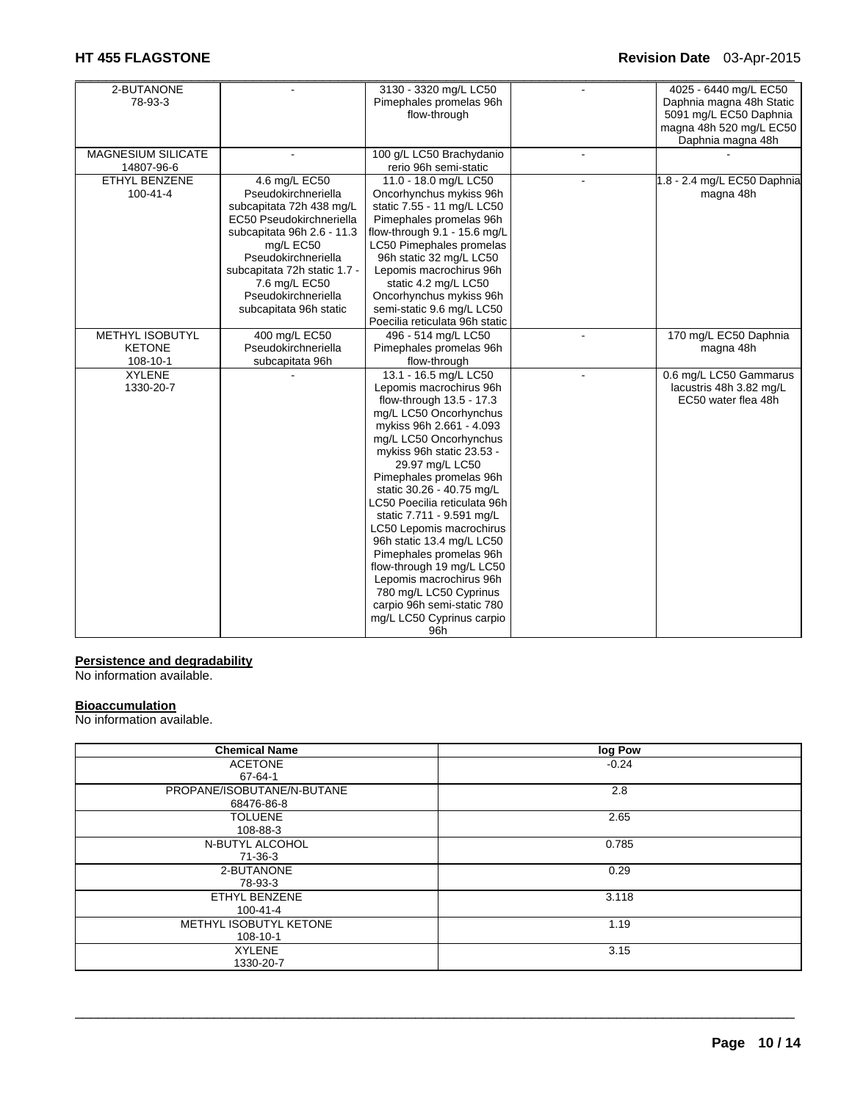# **HT 455 FLAGSTONE Revision Date** 03-Apr-2015

| 2-BUTANONE                |                              | 3130 - 3320 mg/L LC50          |        | 4025 - 6440 mg/L EC50       |
|---------------------------|------------------------------|--------------------------------|--------|-----------------------------|
| 78-93-3                   |                              | Pimephales promelas 96h        |        | Daphnia magna 48h Static    |
|                           |                              | flow-through                   |        | 5091 mg/L EC50 Daphnia      |
|                           |                              |                                |        | magna 48h 520 mg/L EC50     |
|                           |                              |                                |        | Daphnia magna 48h           |
| <b>MAGNESIUM SILICATE</b> |                              | 100 g/L LC50 Brachydanio       |        |                             |
| 14807-96-6                |                              | rerio 96h semi-static          |        |                             |
| <b>ETHYL BENZENE</b>      | 4.6 mg/L EC50                | 11.0 - 18.0 mg/L LC50          |        | 1.8 - 2.4 mg/L EC50 Daphnia |
| $100 - 41 - 4$            | Pseudokirchneriella          | Oncorhynchus mykiss 96h        |        | magna 48h                   |
|                           | subcapitata 72h 438 mg/L     | static 7.55 - 11 mg/L LC50     |        |                             |
|                           | EC50 Pseudokirchneriella     | Pimephales promelas 96h        |        |                             |
|                           | subcapitata 96h 2.6 - 11.3   | flow-through 9.1 - 15.6 mg/L   |        |                             |
|                           | mg/L EC50                    | LC50 Pimephales promelas       |        |                             |
|                           | Pseudokirchneriella          | 96h static 32 mg/L LC50        |        |                             |
|                           | subcapitata 72h static 1.7 - | Lepomis macrochirus 96h        |        |                             |
|                           | 7.6 mg/L EC50                | static 4.2 mg/L LC50           |        |                             |
|                           | Pseudokirchneriella          | Oncorhynchus mykiss 96h        |        |                             |
|                           | subcapitata 96h static       | semi-static 9.6 mg/L LC50      |        |                             |
|                           |                              | Poecilia reticulata 96h static |        |                             |
| <b>METHYL ISOBUTYL</b>    | 400 mg/L EC50                | 496 - 514 mg/L LC50            | $\sim$ | 170 mg/L EC50 Daphnia       |
| <b>KETONE</b>             | Pseudokirchneriella          | Pimephales promelas 96h        |        | magna 48h                   |
| 108-10-1                  | subcapitata 96h              | flow-through                   |        |                             |
| <b>XYLENE</b>             |                              | 13.1 - 16.5 mg/L LC50          |        | 0.6 mg/L LC50 Gammarus      |
| 1330-20-7                 |                              | Lepomis macrochirus 96h        |        | lacustris 48h 3.82 mg/L     |
|                           |                              | flow-through 13.5 - 17.3       |        | EC50 water flea 48h         |
|                           |                              | mg/L LC50 Oncorhynchus         |        |                             |
|                           |                              | mykiss 96h 2.661 - 4.093       |        |                             |
|                           |                              | mg/L LC50 Oncorhynchus         |        |                             |
|                           |                              | mykiss 96h static 23.53 -      |        |                             |
|                           |                              | 29.97 mg/L LC50                |        |                             |
|                           |                              | Pimephales promelas 96h        |        |                             |
|                           |                              | static 30.26 - 40.75 mg/L      |        |                             |
|                           |                              | LC50 Poecilia reticulata 96h   |        |                             |
|                           |                              | static 7.711 - 9.591 mg/L      |        |                             |
|                           |                              | LC50 Lepomis macrochirus       |        |                             |
|                           |                              | 96h static 13.4 mg/L LC50      |        |                             |
|                           |                              | Pimephales promelas 96h        |        |                             |
|                           |                              | flow-through 19 mg/L LC50      |        |                             |
|                           |                              | Lepomis macrochirus 96h        |        |                             |
|                           |                              | 780 mg/L LC50 Cyprinus         |        |                             |
|                           |                              | carpio 96h semi-static 780     |        |                             |
|                           |                              | mg/L LC50 Cyprinus carpio      |        |                             |
|                           |                              | 96h                            |        |                             |

### **Persistence and degradability**

No information available.

### **Bioaccumulation**

No information available.

| <b>Chemical Name</b>       | log Pow |
|----------------------------|---------|
| <b>ACETONE</b>             | $-0.24$ |
| 67-64-1                    |         |
| PROPANE/ISOBUTANE/N-BUTANE | 2.8     |
| 68476-86-8                 |         |
| <b>TOLUENE</b>             | 2.65    |
| 108-88-3                   |         |
| N-BUTYL ALCOHOL            | 0.785   |
| $71-36-3$                  |         |
| 2-BUTANONE                 | 0.29    |
| 78-93-3                    |         |
| ETHYL BENZENE              | 3.118   |
| 100-41-4                   |         |
| METHYL ISOBUTYL KETONE     | 1.19    |
| 108-10-1                   |         |
| <b>XYLENE</b>              | 3.15    |
| 1330-20-7                  |         |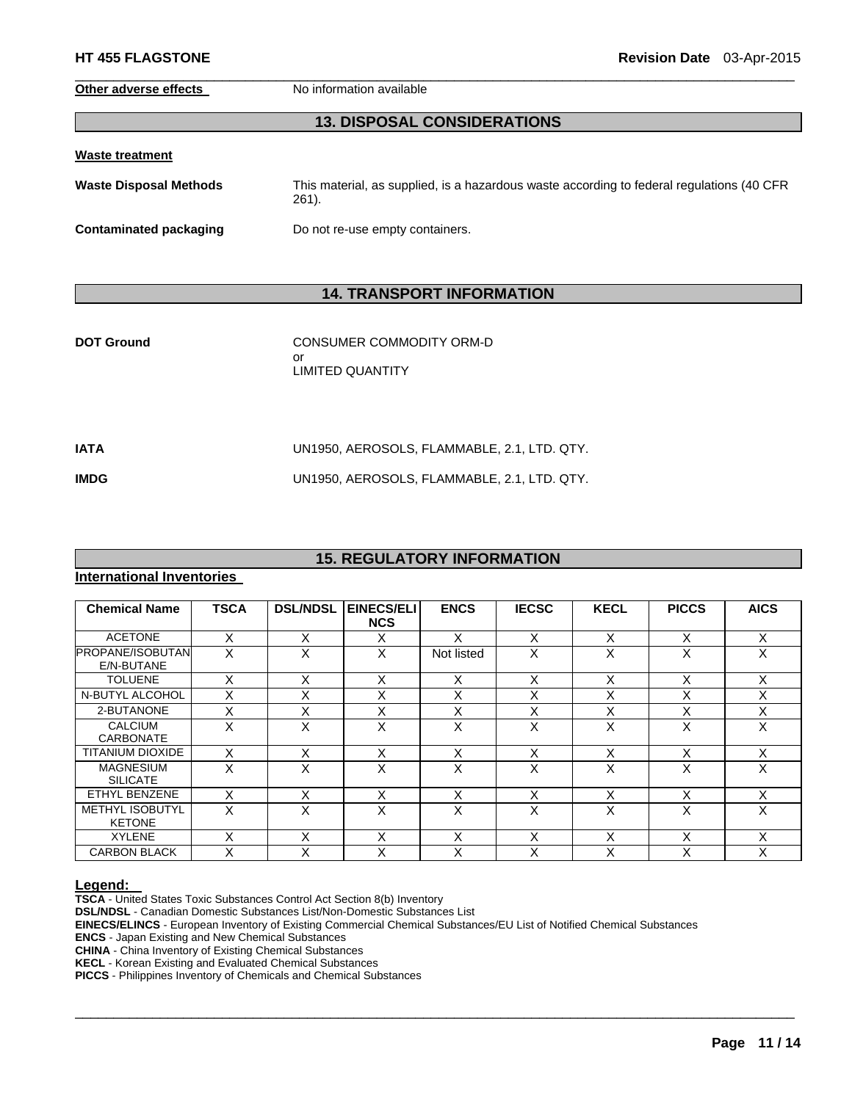**Other adverse effects** No information available

# **13. DISPOSAL CONSIDERATIONS**

 $\Box$ 

|  | Waste treatment |  |  |  |
|--|-----------------|--|--|--|
|  |                 |  |  |  |

**Waste Disposal Methods** This material, as supplied, is a hazardous waste according to federal regulations (40 CFR 261).

**Contaminated packaging <br>Do not re-use empty containers.** 

# **14. TRANSPORT INFORMATION**

| <b>DOT Ground</b> | CONSUMER COMMODITY ORM-D<br>or<br><b>LIMITED QUANTITY</b> |
|-------------------|-----------------------------------------------------------|
| IATA              | UN1950, AEROSOLS, FLAMMABLE, 2.1, LTD. QTY.               |

**IMDG** UN1950, AEROSOLS, FLAMMABLE, 2.1, LTD. QTY.

# **15. REGULATORY INFORMATION**

### **International Inventories**

| <b>Chemical Name</b>                    | <b>TSCA</b> | <b>DSL/NDSL</b> | EINECS/ELI<br><b>NCS</b> | <b>ENCS</b> | <b>IECSC</b> | <b>KECL</b>       | <b>PICCS</b> | <b>AICS</b> |
|-----------------------------------------|-------------|-----------------|--------------------------|-------------|--------------|-------------------|--------------|-------------|
| <b>ACETONE</b>                          | X           | X               | X                        | x           | X            | X                 | X            | X           |
| <b>PROPANE/ISOBUTAN</b><br>E/N-BUTANE   | X           | X               | X                        | Not listed  | X            | X                 | X            | X           |
| <b>TOLUENE</b>                          | X           | X               | X                        | X           | X            | X                 | X            | X           |
| N-BUTYL ALCOHOL                         | X           | X               | X                        | X           | X            | X                 | X            | X           |
| 2-BUTANONE                              | X           | X               | X                        | X           | X            | X                 | X            | X           |
| <b>CALCIUM</b><br>CARBONATE             | X           | X               | X                        | X           | X            | X                 | X            | X           |
| TITANIUM DIOXIDE                        | Χ           | X               | X                        | X           | X            | X                 | X            | X           |
| <b>MAGNESIUM</b><br><b>SILICATE</b>     | X           | X               | X                        | X           | X            | x                 | X            | X           |
| ETHYL BENZENE                           | x           | X               | X                        | X           | X            | X                 | Χ            | X           |
| <b>METHYL ISOBUTYL</b><br><b>KETONE</b> | X           | X               | X                        | X           | X            | X                 | X            | X           |
| <b>XYLENE</b>                           | X           | X               | X                        | X           | X            | X                 | X            | X           |
| <b>CARBON BLACK</b>                     | Χ           | X               | X                        | Χ           | X            | $\checkmark$<br>⋏ |              | X           |

 $\Box$ 

**Legend: TSCA** - United States Toxic Substances Control Act Section 8(b) Inventory

**DSL/NDSL** - Canadian Domestic Substances List/Non-Domestic Substances List

**EINECS/ELINCS** - European Inventory of Existing Commercial Chemical Substances/EU List of Notified Chemical Substances

**ENCS** - Japan Existing and New Chemical Substances

**CHINA** - China Inventory of Existing Chemical Substances

**KECL** - Korean Existing and Evaluated Chemical Substances

**PICCS** - Philippines Inventory of Chemicals and Chemical Substances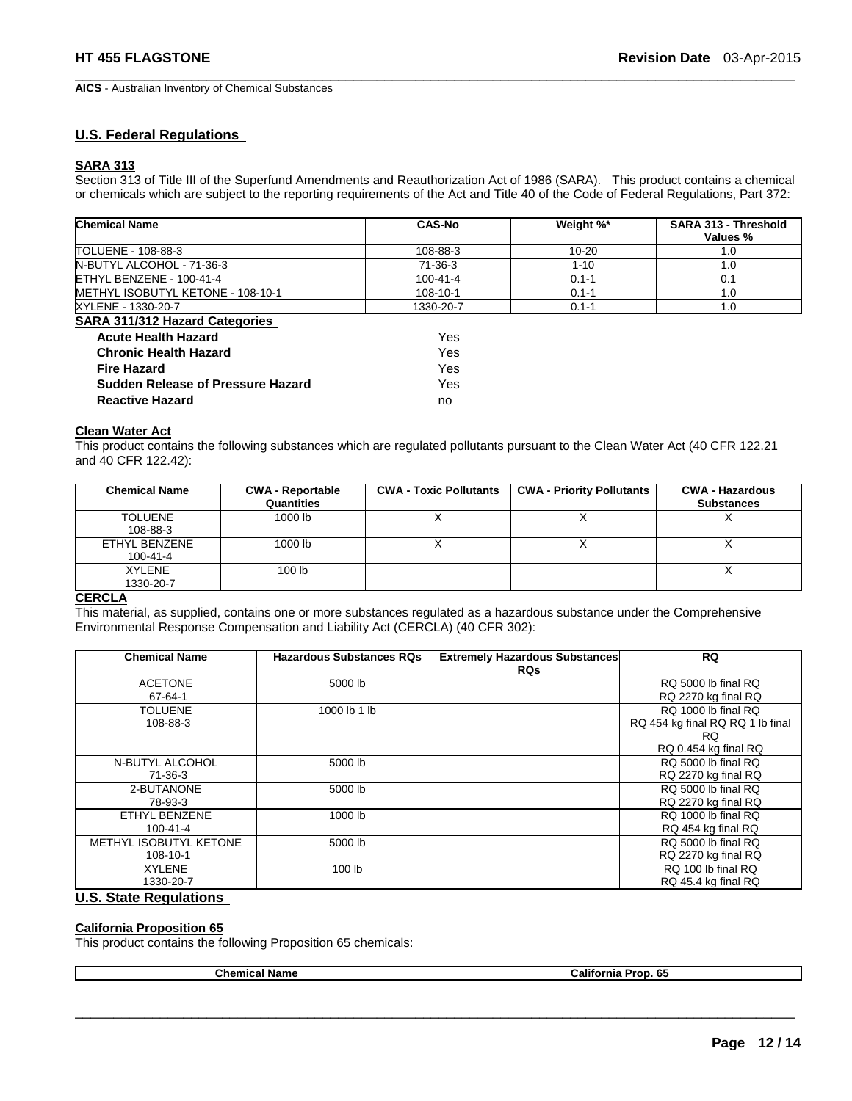$\Box$ **AICS** - Australian Inventory of Chemical Substances

### **U.S. Federal Regulations**

### **SARA 313**

Section 313 of Title III of the Superfund Amendments and Reauthorization Act of 1986 (SARA). This product contains a chemical or chemicals which are subject to the reporting requirements of the Act and Title 40 of the Code of Federal Regulations, Part 372:

| <b>Chemical Name</b>                      | <b>CAS-No</b>  | Weight %* | SARA 313 - Threshold<br>Values % |
|-------------------------------------------|----------------|-----------|----------------------------------|
| TOLUENE - 108-88-3                        | 108-88-3       | $10 - 20$ | 1.0                              |
| N-BUTYL ALCOHOL - 71-36-3                 | 71-36-3        | $1 - 10$  | 1.0                              |
| ETHYL BENZENE - 100-41-4                  | $100 - 41 - 4$ | $0.1 - 1$ | 0.1                              |
| <b>IMETHYL ISOBUTYL KETONE - 108-10-1</b> | 108-10-1       | $0.1 - 1$ | 1.0                              |
| XYLENE - 1330-20-7                        | 1330-20-7      | $0.1 - 1$ | 1.0                              |
| <b>SARA 311/312 Hazard Categories</b>     |                |           |                                  |
| <b>Acute Health Hazard</b>                | Yes            |           |                                  |
| <b>Chronic Health Hazard</b>              | Yes            |           |                                  |
| <b>Fire Hazard</b>                        | Yes            |           |                                  |
| <b>Sudden Release of Pressure Hazard</b>  | Yes            |           |                                  |
| <b>Reactive Hazard</b>                    | no             |           |                                  |

### **Clean Water Act**

This product contains the following substances which are regulated pollutants pursuant to the Clean Water Act (40 CFR 122.21 and 40 CFR 122.42):

| <b>Chemical Name</b>            | <b>CWA - Reportable</b><br>Quantities | <b>CWA - Toxic Pollutants</b> | <b>CWA - Priority Pollutants</b> | <b>CWA - Hazardous</b><br><b>Substances</b> |
|---------------------------------|---------------------------------------|-------------------------------|----------------------------------|---------------------------------------------|
| <b>TOLUENE</b><br>108-88-3      | 1000 lb                               |                               |                                  |                                             |
| ETHYL BENZENE<br>$100 - 41 - 4$ | 1000 lb                               |                               |                                  |                                             |
| <b>XYLENE</b><br>1330-20-7      | 100 <sub>1b</sub>                     |                               |                                  |                                             |

### **CERCLA**

This material, as supplied, contains one or more substances regulated as a hazardous substance under the Comprehensive Environmental Response Compensation and Liability Act (CERCLA) (40 CFR 302):

| <b>Chemical Name</b>   | <b>Hazardous Substances RQs</b> | <b>Extremely Hazardous Substances</b><br><b>RQs</b> | <b>RQ</b>                        |
|------------------------|---------------------------------|-----------------------------------------------------|----------------------------------|
| <b>ACETONE</b>         | 5000 lb                         |                                                     | RQ 5000 lb final RQ              |
| 67-64-1                |                                 |                                                     | RQ 2270 kg final RQ              |
| TOLUENE                | 1000 lb 1 lb                    |                                                     | RQ 1000 lb final RQ              |
| 108-88-3               |                                 |                                                     | RQ 454 kg final RQ RQ 1 lb final |
|                        |                                 |                                                     | RQ.                              |
|                        |                                 |                                                     | RQ 0.454 kg final RQ             |
| N-BUTYL ALCOHOL        | 5000 lb                         |                                                     | RQ 5000 lb final RQ              |
| 71-36-3                |                                 |                                                     | RQ 2270 kg final RQ              |
| 2-BUTANONE             | 5000 lb                         |                                                     | RQ 5000 lb final RQ              |
| 78-93-3                |                                 |                                                     | RQ 2270 kg final RQ              |
| ETHYL BENZENE          | 1000 lb                         |                                                     | RQ 1000 lb final RQ              |
| $100 - 41 - 4$         |                                 |                                                     | RQ 454 kg final RQ               |
| METHYL ISOBUTYL KETONE | 5000 lb                         |                                                     | RQ 5000 lb final RQ              |
| 108-10-1               |                                 |                                                     | RQ 2270 kg final RQ              |
| <b>XYLENE</b>          | 100 <sub>lb</sub>               |                                                     | RQ 100 lb final RQ               |
| 1330-20-7<br>.<br>- -  |                                 |                                                     | RQ 45.4 kg final RQ              |

### **U.S. State Regulations**

### **California Proposition 65**

This product contains the following Proposition 65 chemicals:

| <b>Chemical Name</b> | <b>California Prop.</b><br>-65 |
|----------------------|--------------------------------|
|----------------------|--------------------------------|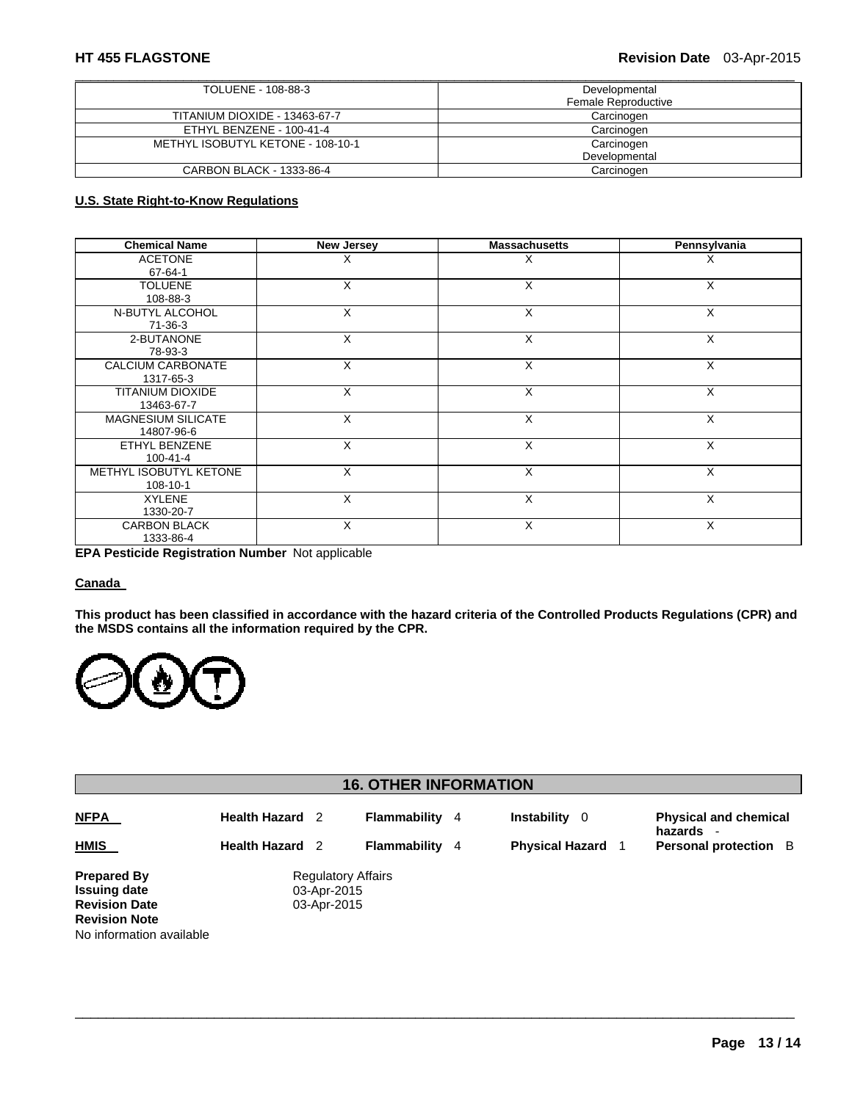| TOLUENE - 108-88-3                | Developmental       |
|-----------------------------------|---------------------|
|                                   | Female Reproductive |
| TITANIUM DIOXIDE - 13463-67-7     | Carcinogen          |
| ETHYL BENZENE - 100-41-4          | Carcinogen          |
| METHYL ISOBUTYL KETONE - 108-10-1 | Carcinogen          |
|                                   | Developmental       |
| CARBON BLACK - 1333-86-4          | Carcinogen          |

## **U.S. State Right-to-Know Regulations**

| <b>Chemical Name</b>      | <b>New Jersey</b> | <b>Massachusetts</b> | Pennsylvania |
|---------------------------|-------------------|----------------------|--------------|
| <b>ACETONE</b>            | X                 | X                    | х            |
| 67-64-1                   |                   |                      |              |
| <b>TOLUENE</b>            | X                 | X                    | X            |
| 108-88-3                  |                   |                      |              |
| N-BUTYL ALCOHOL           | X                 | X                    | X            |
| 71-36-3                   |                   |                      |              |
| 2-BUTANONE                | X                 | X                    | X            |
| 78-93-3                   |                   |                      |              |
| CALCIUM CARBONATE         | X                 | $\times$             | X            |
| 1317-65-3                 |                   |                      |              |
| <b>TITANIUM DIOXIDE</b>   | X                 | X                    | X            |
| 13463-67-7                |                   |                      |              |
| <b>MAGNESIUM SILICATE</b> | X                 | $\times$             | X            |
| 14807-96-6                |                   |                      |              |
| ETHYL BENZENE             | X                 | $\times$             | X            |
| $100 - 41 - 4$            |                   |                      |              |
| METHYL ISOBUTYL KETONE    | X                 | X                    | X            |
| 108-10-1                  |                   |                      |              |
| <b>XYLENE</b>             | X                 | X                    | X            |
| 1330-20-7                 |                   |                      |              |
| <b>CARBON BLACK</b>       | X                 | X                    | X            |
| 1333-86-4                 |                   |                      |              |

**EPA Pesticide Registration Number** Not applicable

### **Canada**

**This product has been classified in accordance with the hazard criteria of the Controlled Products Regulations (CPR) and the MSDS contains all the information required by the CPR.** 



# **16. OTHER INFORMATION**

| <b>NFPA</b>                                      | <b>Health Hazard</b>      |                                          | Flammability        | -4 | <b>Instability</b><br>- 0 | <b>Physical and chemical</b><br>hazards |
|--------------------------------------------------|---------------------------|------------------------------------------|---------------------|----|---------------------------|-----------------------------------------|
| <b>HMIS</b>                                      | <b>Health Hazard</b><br>2 |                                          | <b>Flammability</b> | -4 | <b>Physical Hazard</b>    | <b>Personal protection</b> B            |
| <b>Prepared By</b><br><b>Issuing date</b>        |                           | <b>Regulatory Affairs</b><br>03-Apr-2015 |                     |    |                           |                                         |
| <b>Revision Date</b>                             |                           | 03-Apr-2015                              |                     |    |                           |                                         |
| <b>Revision Note</b><br>No information available |                           |                                          |                     |    |                           |                                         |